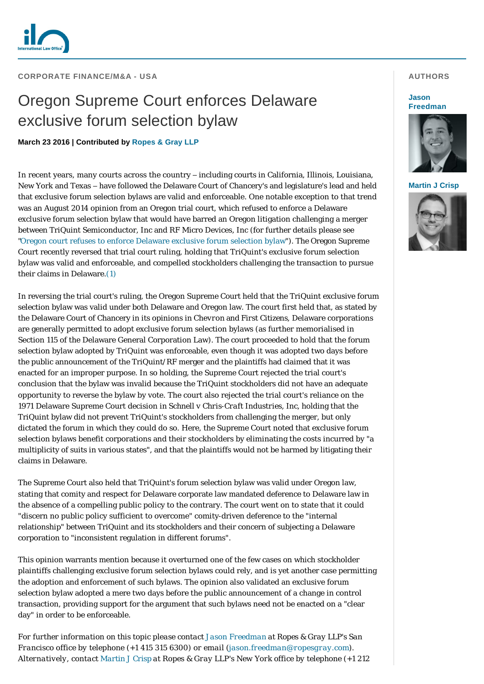

**CORPORATE FINANCE/M&A - USA** 

# Oregon Supreme Court enforces Delaware exclusive forum selection bylaw

## **March 23 2016 | Contributed by [Ropes & Gray LLP](http://www.internationallawoffice.com/gesr.ashx?l=7QXF6FR)**

In recent years, many courts across the country – including courts in California, Illinois, Louisiana, New York and Texas – have followed the Delaware Court of Chancery's and legislature's lead and held that exclusive forum selection bylaws are valid and enforceable. One notable exception to that trend was an August 2014 opinion from an Oregon trial court, which refused to enforce a Delaware exclusive forum selection bylaw that would have barred an Oregon litigation challenging a merger between TriQuint Semiconductor, Inc and RF Micro Devices, Inc (for further details please see ["Oregon court refuses to enforce Delaware exclusive forum selection bylaw"](http://www.internationallawoffice.com/gesr.ashx?l=7QXF6FU)). The Oregon Supreme Court recently reversed that trial court ruling, holding that TriQuint's exclusive forum selection bylaw was valid and enforceable, and compelled stockholders challenging the transaction to pursue their claims in Delaware[.\(1\)](#page-1-0)

In reversing the trial court's ruling, the Oregon Supreme Court held that the TriQuint exclusive forum selection bylaw was valid under both Delaware and Oregon law. The court first held that, as stated by the Delaware Court of Chancery in its opinions in *Chevron* and *First Citizens*, Delaware corporations are generally permitted to adopt exclusive forum selection bylaws (as further memorialised in Section 115 of the Delaware General Corporation Law). The court proceeded to hold that the forum selection bylaw adopted by TriQuint was enforceable, even though it was adopted two days before the public announcement of the TriQuint/RF merger and the plaintiffs had claimed that it was enacted for an improper purpose. In so holding, the Supreme Court rejected the trial court's conclusion that the bylaw was invalid because the TriQuint stockholders did not have an adequate opportunity to reverse the bylaw by vote. The court also rejected the trial court's reliance on the 1971 Delaware Supreme Court decision in *Schnell v Chris-Craft Industries, Inc*, holding that the TriQuint bylaw did not prevent TriQuint's stockholders from challenging the merger, but only dictated the forum in which they could do so. Here, the Supreme Court noted that exclusive forum selection bylaws benefit corporations and their stockholders by eliminating the costs incurred by "a multiplicity of suits in various states", and that the plaintiffs would not be harmed by litigating their claims in Delaware.

The Supreme Court also held that TriQuint's forum selection bylaw was valid under Oregon law, stating that comity and respect for Delaware corporate law mandated deference to Delaware law in the absence of a compelling public policy to the contrary. The court went on to state that it could "discern no public policy sufficient to overcome" comity-driven deference to the "internal relationship" between TriQuint and its stockholders and their concern of subjecting a Delaware corporation to "inconsistent regulation in different forums".

This opinion warrants mention because it overturned one of the few cases on which stockholder plaintiffs challenging exclusive forum selection bylaws could rely, and is yet another case permitting the adoption and enforcement of such bylaws. The opinion also validated an exclusive forum selection bylaw adopted a mere two days before the public announcement of a change in control transaction, providing support for the argument that such bylaws need not be enacted on a "clear day" in order to be enforceable.

*For further information on this topic please contact [Jason Freedman](http://www.internationallawoffice.com/gesr.ashx?l=7QXF6FX) at Ropes & Gray LLP's San Francisco office by telephone (+1 415 315 6300) or email [\(j](mailto:Jason.Freedman@ropesgray.com)[ason.freedman@ropesgray.com\)](mailto:jason.freedman@ropesgray.com?subject=Article%20on%20ILO). Alternatively, contact [Martin J Crisp](http://www.internationallawoffice.com/gesr.ashx?l=7QXF6G0) at Ropes & Gray LLP's New York office by telephone (+1 212* 

## **AUTHORS**

#### **Jason [Freedman](http://www.internationallawoffice.com/gesr.ashx?l=7QXF6FX)**



### **[Martin J Crisp](http://www.internationallawoffice.com/gesr.ashx?l=7QXF6G0)**